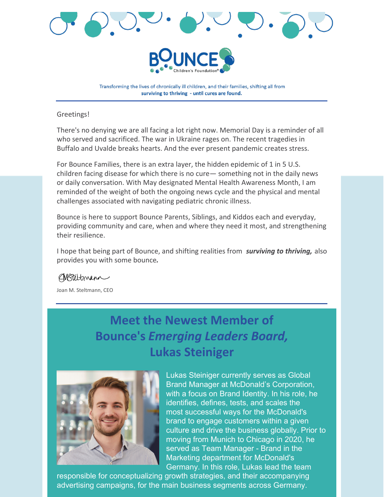



Transforming the lives of chronically ill children, and their families, shifting all from surviving to thriving - until cures are found.

#### Greetings!

There's no denying we are all facing a lot right now. Memorial Day is a reminder of all who served and sacrificed. The war in Ukraine rages on. The recent tragedies in Buffalo and Uvalde breaks hearts. And the ever present pandemic creates stress.

For Bounce Families, there is an extra layer, the hidden epidemic of 1 in 5 U.S. children facing disease for which there is no cure— something not in the daily news or daily conversation. With May designated Mental Health Awareness Month, I am reminded of the weight of both the ongoing news cycle and the physical and mental challenges associated with navigating pediatric chronic illness.

Bounce is here to support Bounce Parents, Siblings, and Kiddos each and everyday, providing community and care, when and where they need it most, and strengthening their resilience.

I hope that being part of Bounce, and shifting realities from *surviving to thriving,* also provides you with some bounce*.*

#### CMSteltmann

Joan M. Steltmann, CEO

# **Meet the Newest Member of Bounce's** *Emerging Leaders Board,* **Lukas Steiniger**



Lukas Steiniger currently serves as Global Brand Manager at McDonald's Corporation, with a focus on Brand Identity. In his role, he identifies, defines, tests, and scales the most successful ways for the McDonald's brand to engage customers within a given culture and drive the business globally. Prior to moving from Munich to Chicago in 2020, he served as Team Manager - Brand in the Marketing department for McDonald's Germany. In this role, Lukas lead the team

responsible for conceptualizing growth strategies, and their accompanying advertising campaigns, for the main business segments across Germany.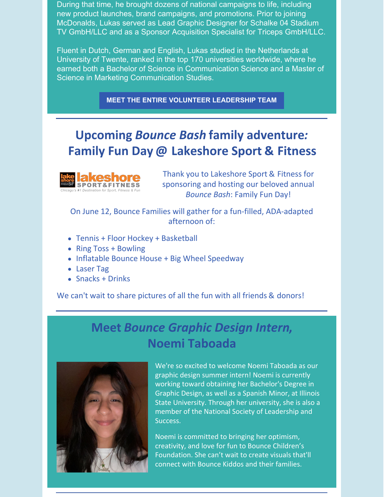During that time, he brought dozens of national campaigns to life, including new product launches, brand campaigns, and promotions. Prior to joining McDonalds, Lukas served as Lead Graphic Designer for Schalke 04 Stadium TV GmbH/LLC and as a Sponsor Acquisition Specialist for Triceps GmbH/LLC.

Fluent in Dutch, German and English, Lukas studied in the Netherlands at University of Twente, ranked in the top 170 universities worldwide, where he earned both a Bachelor of Science in Communication Science and a Master of Science in Marketing Communication Studies.

**MEET THE ENTIRE VOLUNTEER [LEADERSHIP](http://bouncechildrensfoundation.org/team-page/) TEAM**

## **Upcoming** *Bounce Bash* **family adventure***:* **Family Fun Day @ Lakeshore Sport & Fitness**



Thank you to Lakeshore Sport & Fitness for sponsoring and hosting our beloved annual *Bounce Bash*: Family Fun Day!

On June 12, Bounce Families will gather for a fun-filled, ADA-adapted afternoon of:

- Tennis + Floor Hockey + Basketball
- Ring Toss + Bowling
- Inflatable Bounce House + Big Wheel Speedway
- Laser Tag
- Snacks + Drinks

We can't wait to share pictures of all the fun with all friends & donors!

### **Meet** *Bounce Graphic Design Intern***, Noemi Taboada**



We're so excited to welcome Noemi Taboada as our graphic design summer intern! Noemi is currently working toward obtaining her Bachelor's Degree in Graphic Design, as well as a Spanish Minor, at Illinois State University. Through her university, she is also a member of the National Society of Leadership and Success.

Noemi is committed to bringing her optimism, creativity, and love for fun to Bounce Children's Foundation. She can't wait to create visuals that'll connect with Bounce Kiddos and their families.